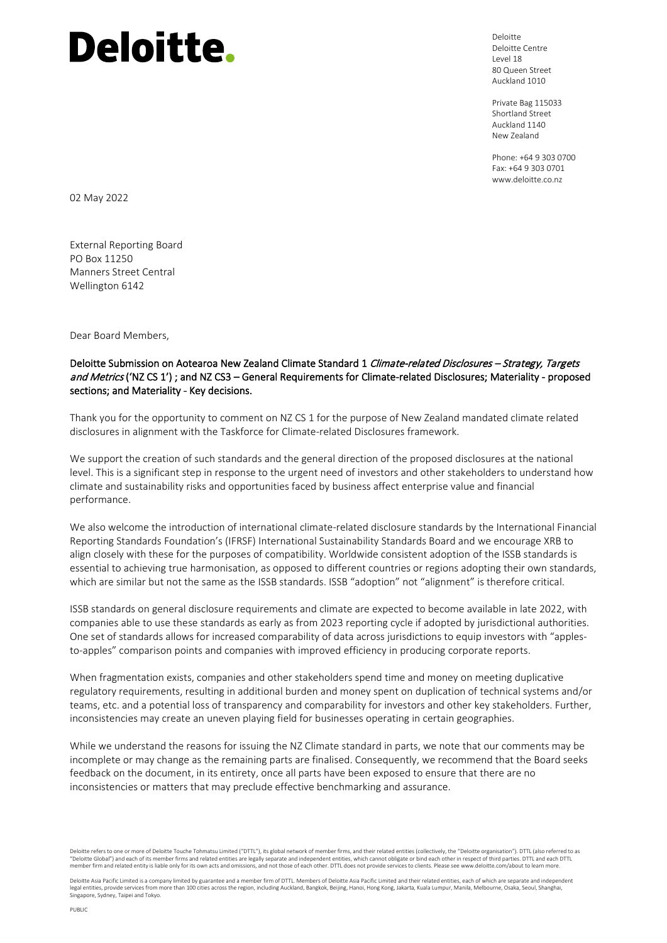Deloitte Deloitte Centre Level 18 80 Queen Street Auckland 1010

Private Bag 115033 Shortland Street Auckland 1140 New Zealand

Phone: +64 9 303 0700 Fax: +64 9 303 0701 www.deloitte.co.nz

02 May 2022

External Reporting Board PO Box 11250 Manners Street Central Wellington 6142

Dear Board Members,

#### Deloitte Submission on Aotearoa New Zealand Climate Standard 1 Climate-related Disclosures - Strategy, Targets and Metrics ('NZ CS 1'); and NZ CS3 – General Requirements for Climate-related Disclosures; Materiality - proposed sections; and Materiality - Key decisions.

Thank you for the opportunity to comment on NZ CS 1 for the purpose of New Zealand mandated climate related disclosures in alignment with the Taskforce for Climate-related Disclosures framework.

We support the creation of such standards and the general direction of the proposed disclosures at the national level. This is a significant step in response to the urgent need of investors and other stakeholders to understand how climate and sustainability risks and opportunities faced by business affect enterprise value and financial performance.

We also welcome the introduction of international climate-related disclosure standards by the International Financial Reporting Standards Foundation's (IFRSF) International Sustainability Standards Board and we encourage XRB to align closely with these for the purposes of compatibility. Worldwide consistent adoption of the ISSB standards is essential to achieving true harmonisation, as opposed to different countries or regions adopting their own standards, which are similar but not the same as the ISSB standards. ISSB "adoption" not "alignment" is therefore critical.

ISSB standards on general disclosure requirements and climate are expected to become available in late 2022, with companies able to use these standards as early as from 2023 reporting cycle if adopted by jurisdictional authorities. One set of standards allows for increased comparability of data across jurisdictions to equip investors with "applesto-apples" comparison points and companies with improved efficiency in producing corporate reports.

When fragmentation exists, companies and other stakeholders spend time and money on meeting duplicative regulatory requirements, resulting in additional burden and money spent on duplication of technical systems and/or teams, etc. and a potential loss of transparency and comparability for investors and other key stakeholders. Further, inconsistencies may create an uneven playing field for businesses operating in certain geographies.

While we understand the reasons for issuing the NZ Climate standard in parts, we note that our comments may be incomplete or may change as the remaining parts are finalised. Consequently, we recommend that the Board seeks feedback on the document, in its entirety, once all parts have been exposed to ensure that there are no inconsistencies or matters that may preclude effective benchmarking and assurance.

Deloitte refers to one or more of Deloitte Touche Tohmatsu Limited ("DTTL"), its global network of member firms, and their related entities (collectively, the "Deloitte organisation"). DTTL (also referred to as "Deloitte Global") and each of its member firms and related entities are legally separate and independent entities, which cannot obligate or bind each other in respect of third parties. DTTL and each DTTL member firm and related entity is liable only for its own acts and omissions, and not those of each other. DTTL does not provide services to clients. Please see www.deloitte.com/about to learn more.

Deloitte Asia Pacific Limited is a company limited by guarantee and a member firm of DTTL. Members of Deloitte Asia Pacific Limited and their related entities, each of which are separate and independent legal entities, provide services from more than 100 cities across the region, including Auckland, Bangkok, Beijing, Hanoi, Hong Kong, Jakarta, Kuala Lumpur, Manila, Melbourne, Osaka, Seoul, Shanghai, Singapore, Sydney, Taipei and Tokyo.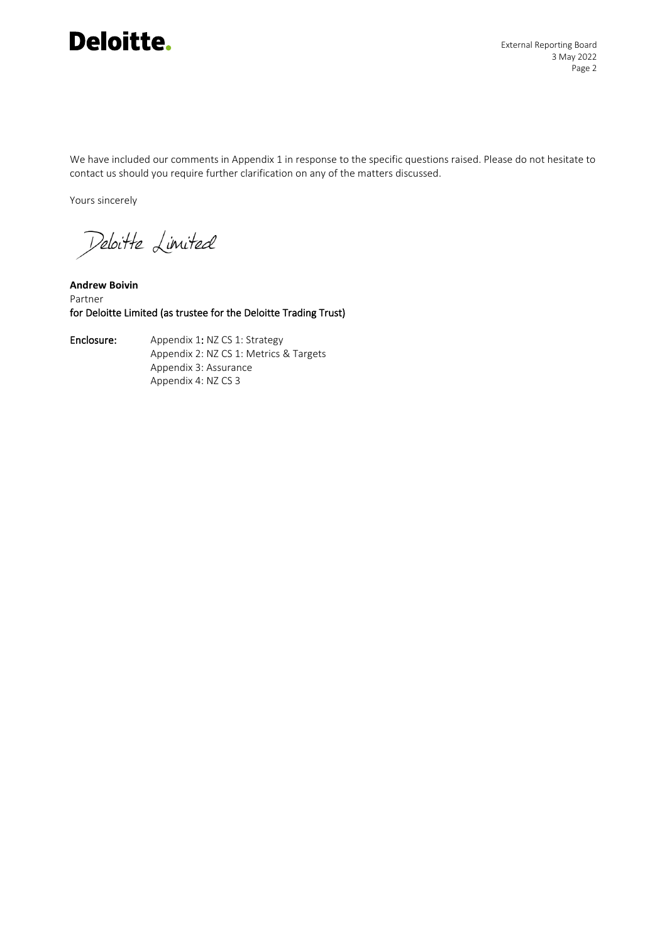

We have included our comments in Appendix 1 in response to the specific questions raised. Please do not hesitate to contact us should you require further clarification on any of the matters discussed.

Yours sincerely

Deloitte Limited

**Andrew Boivin** Partner for Deloitte Limited (as trustee for the Deloitte Trading Trust)

Enclosure: Appendix 1: NZ CS 1: Strategy Appendix 2: NZ CS 1: Metrics & Targets Appendix 3: Assurance Appendix 4: NZ CS 3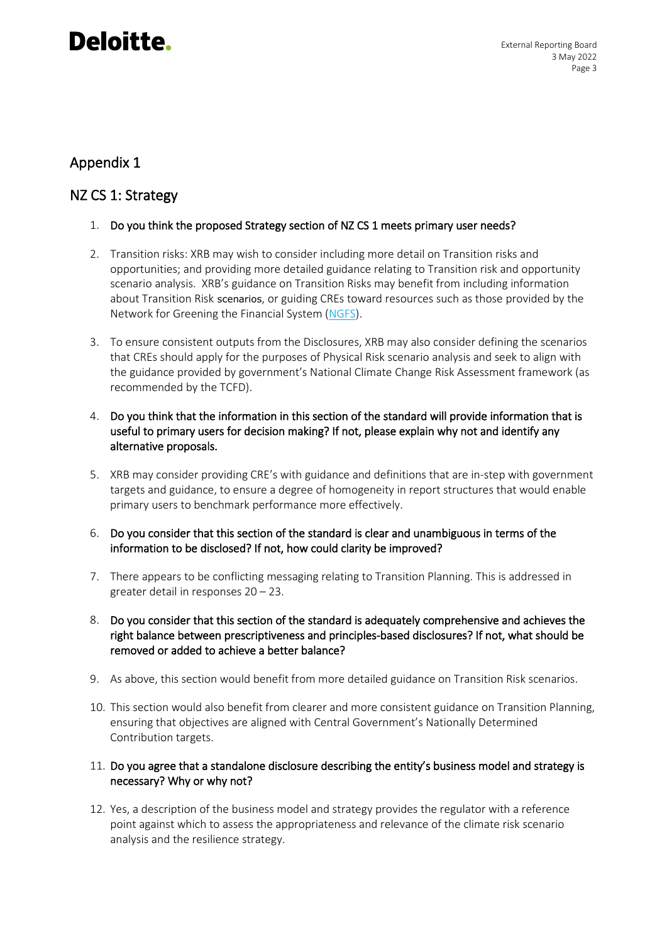### Appendix 1

### NZ CS 1: Strategy

- 1. Do you think the proposed Strategy section of NZ CS 1 meets primary user needs?
- 2. Transition risks: XRB may wish to consider including more detail on Transition risks and opportunities; and providing more detailed guidance relating to Transition risk and opportunity scenario analysis. XRB's guidance on Transition Risks may benefit from including information about Transition Risk scenarios, or guiding CREs toward resources such as those provided by the Network for Greening the Financial System [\(NGFS\)](https://www.ngfs.net/en).
- 3. To ensure consistent outputs from the Disclosures, XRB may also consider defining the scenarios that CREs should apply for the purposes of Physical Risk scenario analysis and seek to align with the guidance provided by government's National Climate Change Risk Assessment framework (as recommended by the TCFD).
- 4. Do you think that the information in this section of the standard will provide information that is useful to primary users for decision making? If not, please explain why not and identify any alternative proposals.
- 5. XRB may consider providing CRE's with guidance and definitions that are in-step with government targets and guidance, to ensure a degree of homogeneity in report structures that would enable primary users to benchmark performance more effectively.
- 6. Do you consider that this section of the standard is clear and unambiguous in terms of the information to be disclosed? If not, how could clarity be improved?
- 7. There appears to be conflicting messaging relating to Transition Planning. This is addressed in greater detail in responses 20 – 23.
- 8. Do you consider that this section of the standard is adequately comprehensive and achieves the right balance between prescriptiveness and principles-based disclosures? If not, what should be removed or added to achieve a better balance?
- 9. As above, this section would benefit from more detailed guidance on Transition Risk scenarios.
- 10. This section would also benefit from clearer and more consistent guidance on Transition Planning, ensuring that objectives are aligned with Central Government's Nationally Determined Contribution targets.
- 11. Do you agree that a standalone disclosure describing the entity's business model and strategy is necessary? Why or why not?
- 12. Yes, a description of the business model and strategy provides the regulator with a reference point against which to assess the appropriateness and relevance of the climate risk scenario analysis and the resilience strategy.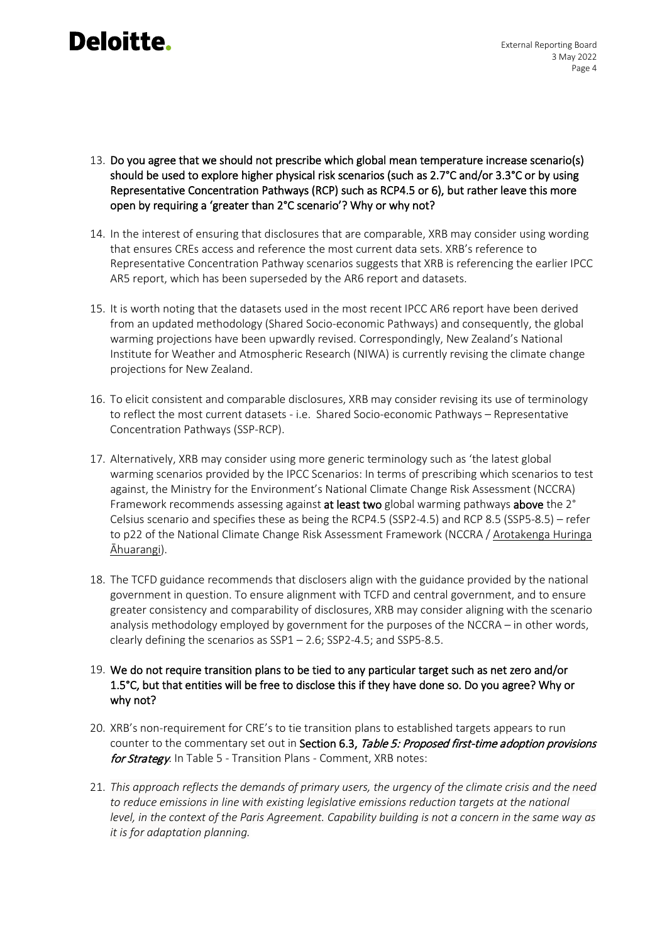- 13. Do you agree that we should not prescribe which global mean temperature increase scenario(s) should be used to explore higher physical risk scenarios (such as 2.7°C and/or 3.3°C or by using Representative Concentration Pathways (RCP) such as RCP4.5 or 6), but rather leave this more open by requiring a 'greater than 2°C scenario'? Why or why not?
- 14. In the interest of ensuring that disclosures that are comparable, XRB may consider using wording that ensures CREs access and reference the most current data sets. XRB's reference to Representative Concentration Pathway scenarios suggests that XRB is referencing the earlier IPCC AR5 report, which has been superseded by the AR6 report and datasets.
- 15. It is worth noting that the datasets used in the most recent IPCC AR6 report have been derived from an updated methodology (Shared Socio-economic Pathways) and consequently, the global warming projections have been upwardly revised. Correspondingly, New Zealand's National Institute for Weather and Atmospheric Research (NIWA) is currently revising the climate change projections for New Zealand.
- 16. To elicit consistent and comparable disclosures, XRB may consider revising its use of terminology to reflect the most current datasets - i.e. Shared Socio-economic Pathways – Representative Concentration Pathways (SSP-RCP).
- 17. Alternatively, XRB may consider using more generic terminology such as 'the latest global warming scenarios provided by the IPCC Scenarios: In terms of prescribing which scenarios to test against, the Ministry for the Environment's National Climate Change Risk Assessment (NCCRA) Framework recommends assessing against at least two global warming pathways above the 2° Celsius scenario and specifies these as being the RCP4.5 (SSP2-4.5) and RCP 8.5 (SSP5-8.5) – refer to p22 of the National Climate Change Risk Assessment Framework (NCCRA / [Arotakenga Huringa](https://environment.govt.nz/assets/Publications/Files/arotakenga-huringa-ahuarangi-framework-for-national-climate-change-risk-assessment-for-aotearoa-FINAL.pdf)  [Āhuarangi](https://environment.govt.nz/assets/Publications/Files/arotakenga-huringa-ahuarangi-framework-for-national-climate-change-risk-assessment-for-aotearoa-FINAL.pdf)).
- 18. The TCFD guidance recommends that disclosers align with the guidance provided by the national government in question. To ensure alignment with TCFD and central government, and to ensure greater consistency and comparability of disclosures, XRB may consider aligning with the scenario analysis methodology employed by government for the purposes of the NCCRA – in other words, clearly defining the scenarios as SSP1 – 2.6; SSP2-4.5; and SSP5-8.5.
- 19. We do not require transition plans to be tied to any particular target such as net zero and/or 1.5°C, but that entities will be free to disclose this if they have done so. Do you agree? Why or why not?
- 20. XRB's non-requirement for CRE's to tie transition plans to established targets appears to run counter to the commentary set out in Section 6.3, Table 5: Proposed first-time adoption provisions for Strategy. In Table 5 - Transition Plans - Comment, XRB notes:
- 21. *This approach reflects the demands of primary users, the urgency of the climate crisis and the need to reduce emissions in line with existing legislative emissions reduction targets at the national level, in the context of the Paris Agreement. Capability building is not a concern in the same way as it is for adaptation planning.*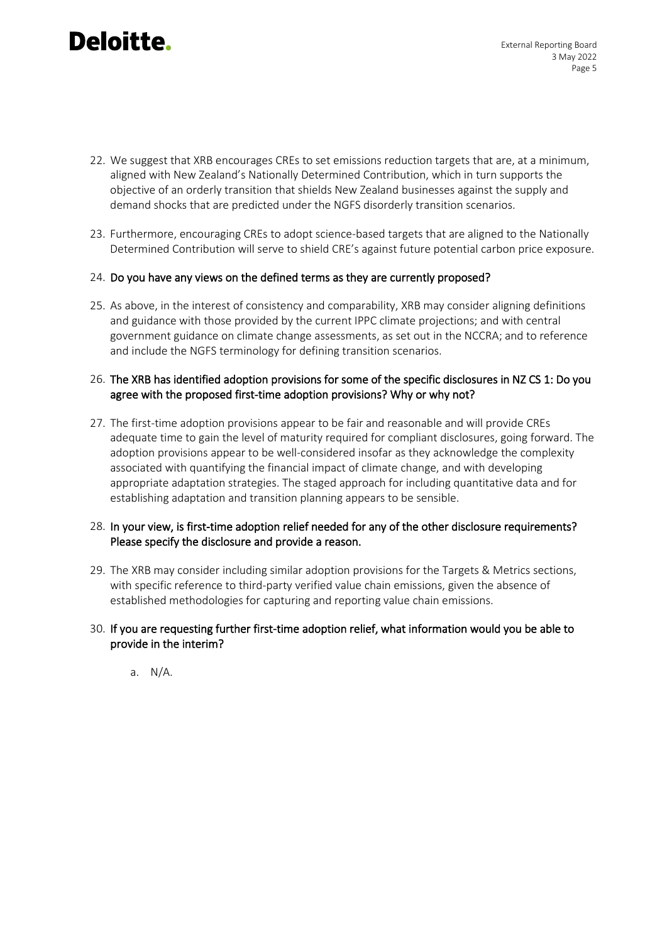- 22. We suggest that XRB encourages CREs to set emissions reduction targets that are, at a minimum, aligned with New Zealand's Nationally Determined Contribution, which in turn supports the objective of an orderly transition that shields New Zealand businesses against the supply and demand shocks that are predicted under the NGFS disorderly transition scenarios.
- 23. Furthermore, encouraging CREs to adopt science-based targets that are aligned to the Nationally Determined Contribution will serve to shield CRE's against future potential carbon price exposure.

#### 24. Do you have any views on the defined terms as they are currently proposed?

25. As above, in the interest of consistency and comparability, XRB may consider aligning definitions and guidance with those provided by the current IPPC climate projections; and with central government guidance on climate change assessments, as set out in the NCCRA; and to reference and include the NGFS terminology for defining transition scenarios.

#### 26. The XRB has identified adoption provisions for some of the specific disclosures in NZ CS 1: Do you agree with the proposed first-time adoption provisions? Why or why not?

27. The first-time adoption provisions appear to be fair and reasonable and will provide CREs adequate time to gain the level of maturity required for compliant disclosures, going forward. The adoption provisions appear to be well-considered insofar as they acknowledge the complexity associated with quantifying the financial impact of climate change, and with developing appropriate adaptation strategies. The staged approach for including quantitative data and for establishing adaptation and transition planning appears to be sensible.

#### 28. In your view, is first-time adoption relief needed for any of the other disclosure requirements? Please specify the disclosure and provide a reason.

29. The XRB may consider including similar adoption provisions for the Targets & Metrics sections, with specific reference to third-party verified value chain emissions, given the absence of established methodologies for capturing and reporting value chain emissions.

#### 30. If you are requesting further first-time adoption relief, what information would you be able to provide in the interim?

a. N/A.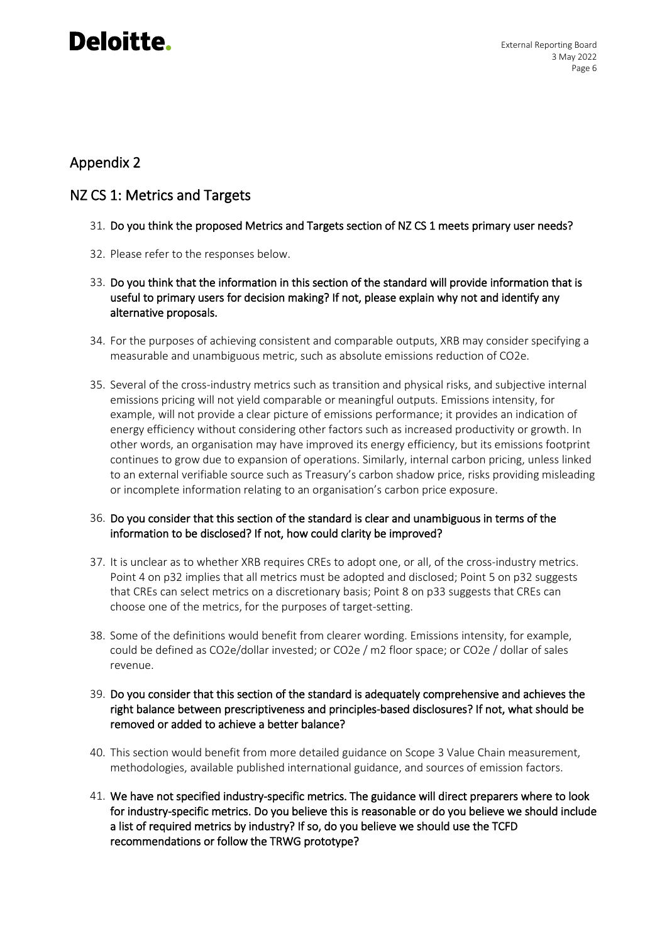### Appendix 2

### NZ CS 1: Metrics and Targets

- 31. Do you think the proposed Metrics and Targets section of NZ CS 1 meets primary user needs?
- 32. Please refer to the responses below.
- 33. Do you think that the information in this section of the standard will provide information that is useful to primary users for decision making? If not, please explain why not and identify any alternative proposals.
- 34. For the purposes of achieving consistent and comparable outputs, XRB may consider specifying a measurable and unambiguous metric, such as absolute emissions reduction of CO2e.
- 35. Several of the cross-industry metrics such as transition and physical risks, and subjective internal emissions pricing will not yield comparable or meaningful outputs. Emissions intensity, for example, will not provide a clear picture of emissions performance; it provides an indication of energy efficiency without considering other factors such as increased productivity or growth. In other words, an organisation may have improved its energy efficiency, but its emissions footprint continues to grow due to expansion of operations. Similarly, internal carbon pricing, unless linked to an external verifiable source such as Treasury's carbon shadow price, risks providing misleading or incomplete information relating to an organisation's carbon price exposure.

#### 36. Do you consider that this section of the standard is clear and unambiguous in terms of the information to be disclosed? If not, how could clarity be improved?

- 37. It is unclear as to whether XRB requires CREs to adopt one, or all, of the cross-industry metrics. Point 4 on p32 implies that all metrics must be adopted and disclosed; Point 5 on p32 suggests that CREs can select metrics on a discretionary basis; Point 8 on p33 suggests that CREs can choose one of the metrics, for the purposes of target-setting.
- 38. Some of the definitions would benefit from clearer wording. Emissions intensity, for example, could be defined as CO2e/dollar invested; or CO2e / m2 floor space; or CO2e / dollar of sales revenue.
- 39. Do you consider that this section of the standard is adequately comprehensive and achieves the right balance between prescriptiveness and principles-based disclosures? If not, what should be removed or added to achieve a better balance?
- 40. This section would benefit from more detailed guidance on Scope 3 Value Chain measurement, methodologies, available published international guidance, and sources of emission factors.
- 41. We have not specified industry-specific metrics. The guidance will direct preparers where to look for industry-specific metrics. Do you believe this is reasonable or do you believe we should include a list of required metrics by industry? If so, do you believe we should use the TCFD recommendations or follow the TRWG prototype?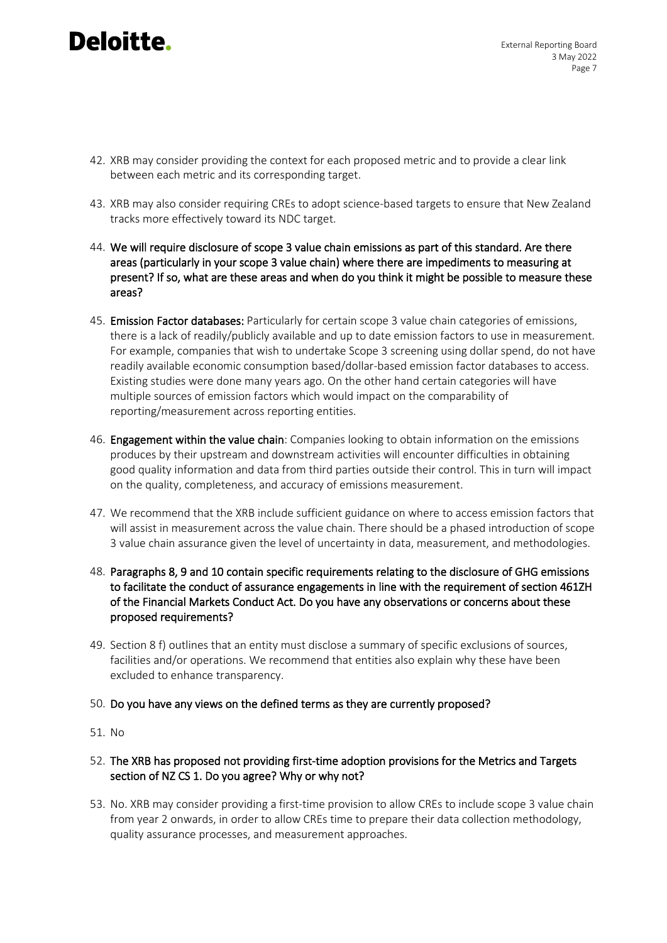- 42. XRB may consider providing the context for each proposed metric and to provide a clear link between each metric and its corresponding target.
- 43. XRB may also consider requiring CREs to adopt science-based targets to ensure that New Zealand tracks more effectively toward its NDC target.
- 44. We will require disclosure of scope 3 value chain emissions as part of this standard. Are there areas (particularly in your scope 3 value chain) where there are impediments to measuring at present? If so, what are these areas and when do you think it might be possible to measure these areas?
- 45. Emission Factor databases: Particularly for certain scope 3 value chain categories of emissions, there is a lack of readily/publicly available and up to date emission factors to use in measurement. For example, companies that wish to undertake Scope 3 screening using dollar spend, do not have readily available economic consumption based/dollar-based emission factor databases to access. Existing studies were done many years ago. On the other hand certain categories will have multiple sources of emission factors which would impact on the comparability of reporting/measurement across reporting entities.
- 46. Engagement within the value chain: Companies looking to obtain information on the emissions produces by their upstream and downstream activities will encounter difficulties in obtaining good quality information and data from third parties outside their control. This in turn will impact on the quality, completeness, and accuracy of emissions measurement.
- 47. We recommend that the XRB include sufficient guidance on where to access emission factors that will assist in measurement across the value chain. There should be a phased introduction of scope 3 value chain assurance given the level of uncertainty in data, measurement, and methodologies.
- 48. Paragraphs 8, 9 and 10 contain specific requirements relating to the disclosure of GHG emissions to facilitate the conduct of assurance engagements in line with the requirement of section 461ZH of the Financial Markets Conduct Act. Do you have any observations or concerns about these proposed requirements?
- 49. Section 8 f) outlines that an entity must disclose a summary of specific exclusions of sources, facilities and/or operations. We recommend that entities also explain why these have been excluded to enhance transparency.
- 50. Do you have any views on the defined terms as they are currently proposed?
- 51. No
- 52. The XRB has proposed not providing first-time adoption provisions for the Metrics and Targets section of NZ CS 1. Do you agree? Why or why not?
- 53. No. XRB may consider providing a first-time provision to allow CREs to include scope 3 value chain from year 2 onwards, in order to allow CREs time to prepare their data collection methodology, quality assurance processes, and measurement approaches.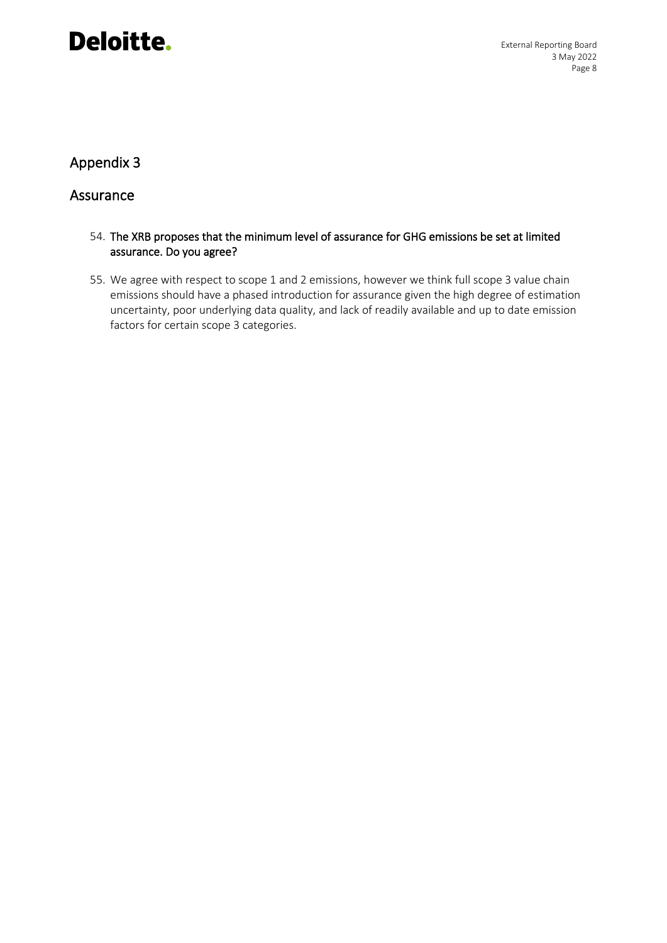External Reporting Board 3 May 2022 Page 8

### Appendix 3

#### Assurance

- 54. The XRB proposes that the minimum level of assurance for GHG emissions be set at limited assurance. Do you agree?
- 55. We agree with respect to scope 1 and 2 emissions, however we think full scope 3 value chain emissions should have a phased introduction for assurance given the high degree of estimation uncertainty, poor underlying data quality, and lack of readily available and up to date emission factors for certain scope 3 categories.